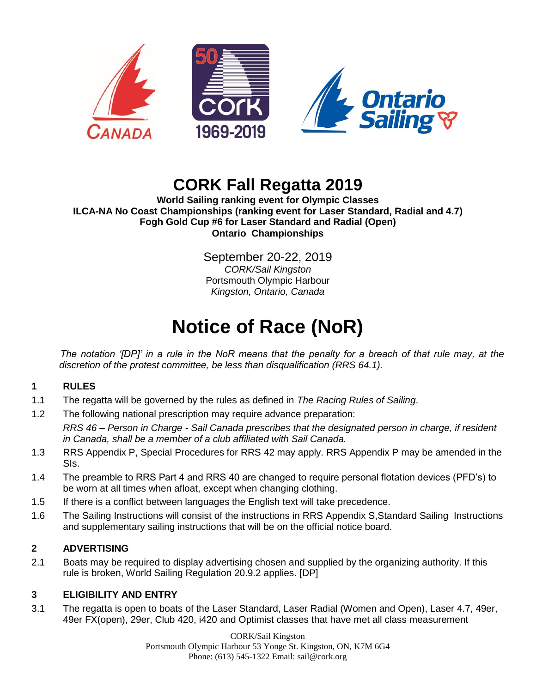

# **CORK Fall Regatta 2019**

**World Sailing ranking event for Olympic Classes ILCA-NA No Coast Championships (ranking event for Laser Standard, Radial and 4.7) Fogh Gold Cup #6 for Laser Standard and Radial (Open) Ontario Championships**

> September 20-22, 2019 *CORK/Sail Kingston* Portsmouth Olympic Harbour *Kingston, Ontario, Canada*

# **Notice of Race (NoR)**

*The notation '[DP]' in a rule in the NoR means that the penalty for a breach of that rule may, at the discretion of the protest committee, be less than disqualification (RRS 64.1).*

# **1 RULES**

- 1.1 The regatta will be governed by the rules as defined in *The Racing Rules of Sailing*.
- 1.2 The following national prescription may require advance preparation: *RRS 46 – Person in Charge - Sail Canada prescribes that the designated person in charge, if resident in Canada, shall be a member of a club affiliated with Sail Canada.*
- 1.3 RRS Appendix P, Special Procedures for RRS 42 may apply. RRS Appendix P may be amended in the SIs.
- 1.4 The preamble to RRS Part 4 and RRS 40 are changed to require personal flotation devices (PFD's) to be worn at all times when afloat, except when changing clothing.
- 1.5 If there is a conflict between languages the English text will take precedence.
- 1.6 The Sailing Instructions will consist of the instructions in RRS Appendix S,Standard Sailing Instructions and supplementary sailing instructions that will be on the official notice board.

# **2 ADVERTISING**

2.1 Boats may be required to display advertising chosen and supplied by the organizing authority. If this rule is broken, World Sailing Regulation 20.9.2 applies. [DP]

# **3 ELIGIBILITY AND ENTRY**

3.1 The regatta is open to boats of the Laser Standard, Laser Radial (Women and Open), Laser 4.7, 49er, 49er FX(open), 29er, Club 420, i420 and Optimist classes that have met all class measurement

> CORK/Sail Kingston Portsmouth Olympic Harbour 53 Yonge St. Kingston, ON, K7M 6G4 Phone: (613) 545-1322 Email: sail@cork.org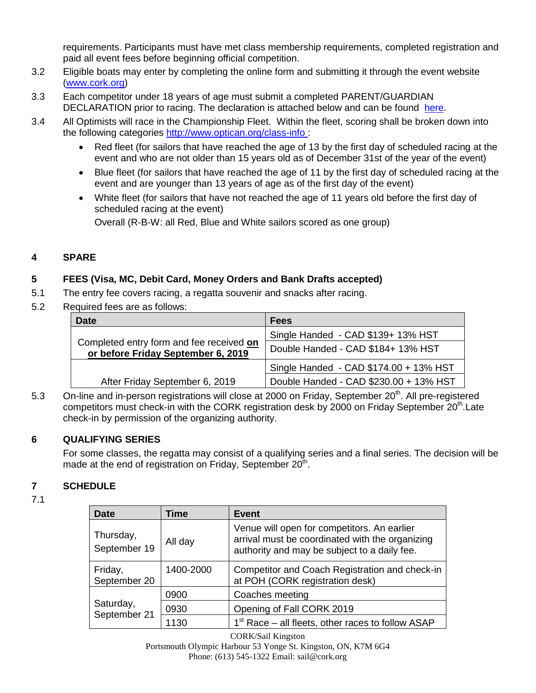requirements. Participants must have met class membership requirements, completed registration and paid all event fees before beginning official competition.

- 3.2 Eligible boats may enter by completing the online form and submitting it through the event website [\(www.cork.org\)](http://www.cork.org/)
- 3.3 Each competitor under 18 years of age must submit a completed PARENT/GUARDIAN DECLARATION prior to racing. The declaration is attached below and can be found [here.](http://www.cork.org/wp-content/uploads/2018/01/Parent-Guardian-Declaration.pdf)
- 3.4 All Optimists will race in the Championship Fleet. Within the fleet, scoring shall be broken down into the following categories<http://www.optican.org/class-info> :
	- Red fleet (for sailors that have reached the age of 13 by the first day of scheduled racing at the event and who are not older than 15 years old as of December 31st of the year of the event)
	- Blue fleet (for sailors that have reached the age of 11 by the first day of scheduled racing at the event and are younger than 13 years of age as of the first day of the event)
	- White fleet (for sailors that have not reached the age of 11 years old before the first day of scheduled racing at the event)

Overall (R-B-W: all Red, Blue and White sailors scored as one group)

# **4 SPARE**

# **5 FEES (Visa, MC, Debit Card, Money Orders and Bank Drafts accepted)**

- 5.1 The entry fee covers racing, a regatta souvenir and snacks after racing.
- 5.2 Required fees are as follows:

| <b>Date</b>                                                                    | <b>Fees</b>                            |
|--------------------------------------------------------------------------------|----------------------------------------|
|                                                                                | Single Handed - CAD \$139+ 13% HST     |
| Completed entry form and fee received on<br>or before Friday September 6, 2019 | Double Handed - CAD \$184+ 13% HST     |
|                                                                                | Single Handed - CAD \$174.00 + 13% HST |
| After Friday September 6, 2019                                                 | Double Handed - CAD \$230.00 + 13% HST |

5.3 On-line and in-person registrations will close at 2000 on Friday, September 20<sup>th</sup>. All pre-registered competitors must check-in with the CORK registration desk by 2000 on Friday September 20<sup>th</sup> Late check-in by permission of the organizing authority.

# **6 QUALIFYING SERIES**

For some classes, the regatta may consist of a qualifying series and a final series. The decision will be made at the end of registration on Friday, September 20<sup>th</sup>.

# **7 SCHEDULE**

7.1

| Date                      | Time      | <b>Event</b>                                                                                                                                   |
|---------------------------|-----------|------------------------------------------------------------------------------------------------------------------------------------------------|
| Thursday,<br>September 19 | All day   | Venue will open for competitors. An earlier<br>arrival must be coordinated with the organizing<br>authority and may be subject to a daily fee. |
| Friday,<br>September 20   | 1400-2000 | Competitor and Coach Registration and check-in<br>at POH (CORK registration desk)                                                              |
|                           | 0900      | Coaches meeting                                                                                                                                |
| Saturday,<br>September 21 | 0930      | Opening of Fall CORK 2019                                                                                                                      |
|                           | 1130      | 1 <sup>st</sup> Race – all fleets, other races to follow ASAP                                                                                  |

CORK/Sail Kingston Portsmouth Olympic Harbour 53 Yonge St. Kingston, ON, K7M 6G4 Phone: (613) 545-1322 Email: sail@cork.org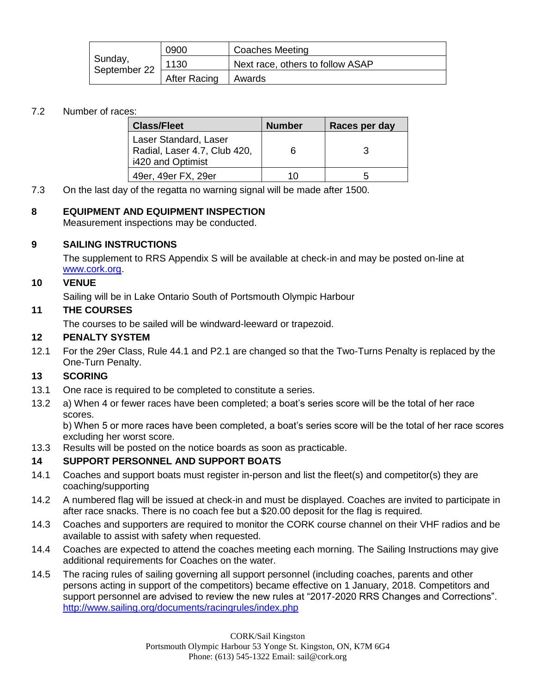|                         | 0900                | Coaches Meeting                  |
|-------------------------|---------------------|----------------------------------|
| Sunday,<br>September 22 | 1130                | Next race, others to follow ASAP |
|                         | <b>After Racing</b> | l Awards                         |

# 7.2 Number of races:

| <b>Class/Fleet</b>                                                         | <b>Number</b> | Races per day |
|----------------------------------------------------------------------------|---------------|---------------|
| Laser Standard, Laser<br>Radial, Laser 4.7, Club 420,<br>i420 and Optimist | 6             |               |
| 49er, 49er FX, 29er                                                        | 10            |               |

7.3 On the last day of the regatta no warning signal will be made after 1500.

# **8 EQUIPMENT AND EQUIPMENT INSPECTION**

Measurement inspections may be conducted.

# **9 SAILING INSTRUCTIONS**

The supplement to RRS Appendix S will be available at check-in and may be posted on-line at [www.cork.org.](http://www.cork.org/)

# **10 VENUE**

Sailing will be in Lake Ontario South of Portsmouth Olympic Harbour

# **11 THE COURSES**

The courses to be sailed will be windward-leeward or trapezoid.

### **12 PENALTY SYSTEM**

12.1 For the 29er Class, Rule 44.1 and P2.1 are changed so that the Two-Turns Penalty is replaced by the One-Turn Penalty.

# **13 SCORING**

- 13.1 One race is required to be completed to constitute a series.
- 13.2 a) When 4 or fewer races have been completed; a boat's series score will be the total of her race scores.

b) When 5 or more races have been completed, a boat's series score will be the total of her race scores excluding her worst score.

13.3 Results will be posted on the notice boards as soon as practicable.

# **14 SUPPORT PERSONNEL AND SUPPORT BOATS**

- 14.1 Coaches and support boats must register in-person and list the fleet(s) and competitor(s) they are coaching/supporting
- 14.2 A numbered flag will be issued at check-in and must be displayed. Coaches are invited to participate in after race snacks. There is no coach fee but a \$20.00 deposit for the flag is required.
- 14.3 Coaches and supporters are required to monitor the CORK course channel on their VHF radios and be available to assist with safety when requested.
- 14.4 Coaches are expected to attend the coaches meeting each morning. The Sailing Instructions may give additional requirements for Coaches on the water.
- 14.5 The racing rules of sailing governing all support personnel (including coaches, parents and other persons acting in support of the competitors) became effective on 1 January, 2018. Competitors and support personnel are advised to review the new rules at "2017-2020 RRS Changes and Corrections". <http://www.sailing.org/documents/racingrules/index.php>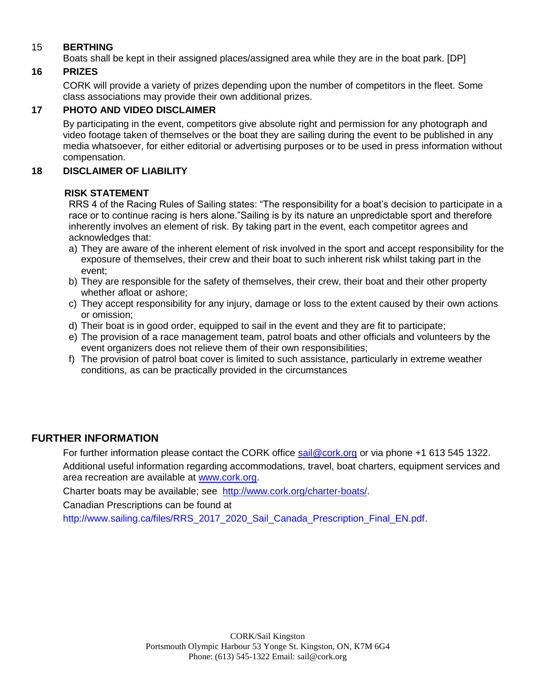# 15 **BERTHING**

Boats shall be kept in their assigned places/assigned area while they are in the boat park. [DP]

# **16 PRIZES**

CORK will provide a variety of prizes depending upon the number of competitors in the fleet. Some class associations may provide their own additional prizes.

# **17 PHOTO AND VIDEO DISCLAIMER**

By participating in the event, competitors give absolute right and permission for any photograph and video footage taken of themselves or the boat they are sailing during the event to be published in any media whatsoever, for either editorial or advertising purposes or to be used in press information without compensation.

# **18 DISCLAIMER OF LIABILITY**

# **RISK STATEMENT**

RRS 4 of the Racing Rules of Sailing states: "The responsibility for a boat's decision to participate in a race or to continue racing is hers alone."Sailing is by its nature an unpredictable sport and therefore inherently involves an element of risk. By taking part in the event, each competitor agrees and acknowledges that:

- a) They are aware of the inherent element of risk involved in the sport and accept responsibility for the exposure of themselves, their crew and their boat to such inherent risk whilst taking part in the event;
- b) They are responsible for the safety of themselves, their crew, their boat and their other property whether afloat or ashore;
- c) They accept responsibility for any injury, damage or loss to the extent caused by their own actions or omission;
- d) Their boat is in good order, equipped to sail in the event and they are fit to participate;
- e) The provision of a race management team, patrol boats and other officials and volunteers by the event organizers does not relieve them of their own responsibilities;
- f) The provision of patrol boat cover is limited to such assistance, particularly in extreme weather conditions, as can be practically provided in the circumstances

# **FURTHER INFORMATION**

For further information please contact the CORK office [sail@cork.org](mailto:sail@cork.org) or via phone +1 613 545 1322. Additional useful information regarding accommodations, travel, boat charters, equipment services and area recreation are available at [www.cork.org.](http://www.cork.org/)

Charter boats may be available; see [http://www.cork.org/charter-boats/.](http://www.cork.org/charter-boats/)

Canadian Prescriptions can be found at

[http://www.sailing.ca/files/RRS\\_2017\\_2020\\_Sail\\_Canada\\_Prescription\\_Final\\_EN.pdf.](http://www.sailing.ca/files/RRS_2017_2020_Sail_Canada_Prescription_Final_EN.pdf)